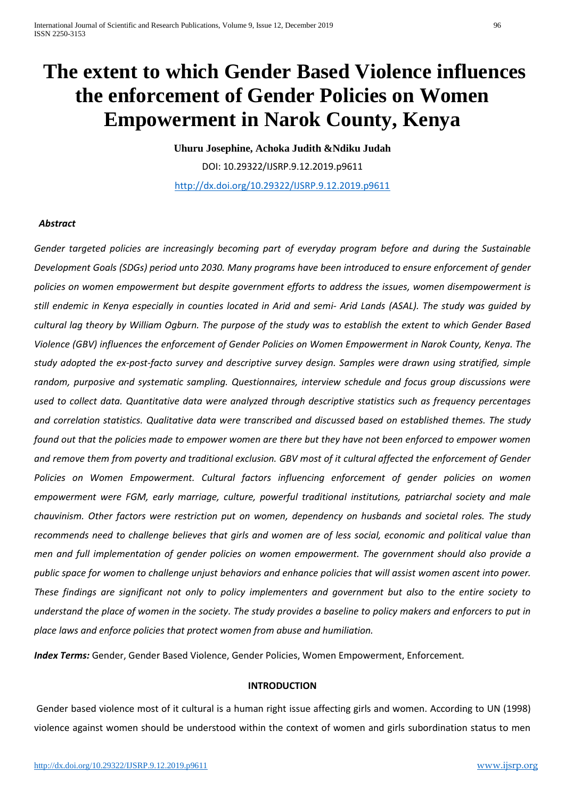# **The extent to which Gender Based Violence influences the enforcement of Gender Policies on Women Empowerment in Narok County, Kenya**

**Uhuru Josephine, Achoka Judith &Ndiku Judah** DOI: 10.29322/IJSRP.9.12.2019.p9611 <http://dx.doi.org/10.29322/IJSRP.9.12.2019.p9611>

## *Abstract*

*Gender targeted policies are increasingly becoming part of everyday program before and during the Sustainable Development Goals (SDGs) period unto 2030. Many programs have been introduced to ensure enforcement of gender policies on women empowerment but despite government efforts to address the issues, women disempowerment is still endemic in Kenya especially in counties located in Arid and semi- Arid Lands (ASAL). The study was guided by cultural lag theory by William Ogburn. The purpose of the study was to establish the extent to which Gender Based Violence (GBV) influences the enforcement of Gender Policies on Women Empowerment in Narok County, Kenya. The study adopted the ex-post-facto survey and descriptive survey design. Samples were drawn using stratified, simple random, purposive and systematic sampling. Questionnaires, interview schedule and focus group discussions were used to collect data. Quantitative data were analyzed through descriptive statistics such as frequency percentages and correlation statistics. Qualitative data were transcribed and discussed based on established themes. The study found out that the policies made to empower women are there but they have not been enforced to empower women and remove them from poverty and traditional exclusion. GBV most of it cultural affected the enforcement of Gender Policies on Women Empowerment. Cultural factors influencing enforcement of gender policies on women empowerment were FGM, early marriage, culture, powerful traditional institutions, patriarchal society and male chauvinism. Other factors were restriction put on women, dependency on husbands and societal roles. The study recommends need to challenge believes that girls and women are of less social, economic and political value than men and full implementation of gender policies on women empowerment. The government should also provide a public space for women to challenge unjust behaviors and enhance policies that will assist women ascent into power. These findings are significant not only to policy implementers and government but also to the entire society to understand the place of women in the society. The study provides a baseline to policy makers and enforcers to put in place laws and enforce policies that protect women from abuse and humiliation.* 

*Index Terms:* Gender, Gender Based Violence, Gender Policies, Women Empowerment, Enforcement*.*

#### **INTRODUCTION**

Gender based violence most of it cultural is a human right issue affecting girls and women. According to UN (1998) violence against women should be understood within the context of women and girls subordination status to men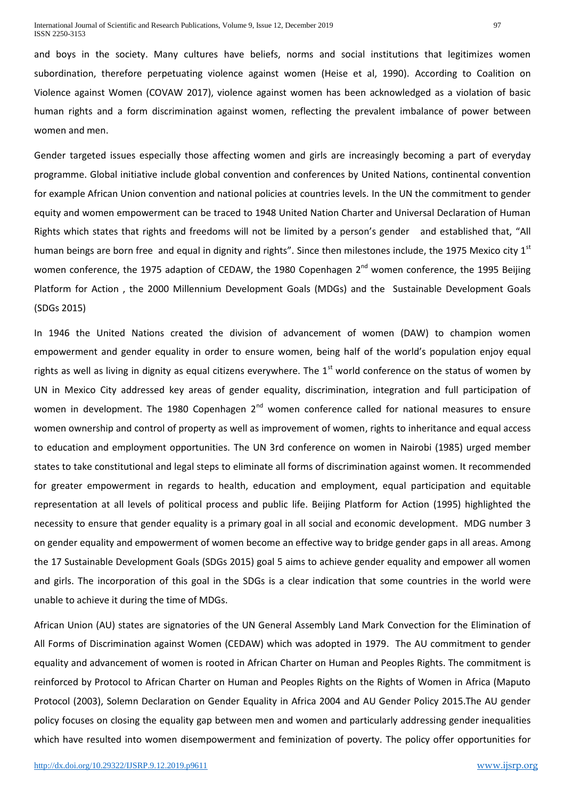and boys in the society. Many cultures have beliefs, norms and social institutions that legitimizes women subordination, therefore perpetuating violence against women (Heise et al, 1990). According to Coalition on Violence against Women (COVAW 2017), violence against women has been acknowledged as a violation of basic human rights and a form discrimination against women, reflecting the prevalent imbalance of power between women and men.

Gender targeted issues especially those affecting women and girls are increasingly becoming a part of everyday programme. Global initiative include global convention and conferences by United Nations, continental convention for example African Union convention and national policies at countries levels. In the UN the commitment to gender equity and women empowerment can be traced to 1948 United Nation Charter and Universal Declaration of Human Rights which states that rights and freedoms will not be limited by a person's gender and established that, "All human beings are born free and equal in dignity and rights". Since then milestones include, the 1975 Mexico city  $1<sup>st</sup>$ women conference, the 1975 adaption of CEDAW, the 1980 Copenhagen 2<sup>nd</sup> women conference, the 1995 Beijing Platform for Action , the 2000 Millennium Development Goals (MDGs) and the Sustainable Development Goals (SDGs 2015)

In 1946 the United Nations created the division of advancement of women (DAW) to champion women empowerment and gender equality in order to ensure women, being half of the world's population enjoy equal rights as well as living in dignity as equal citizens everywhere. The  $1<sup>st</sup>$  world conference on the status of women by UN in Mexico City addressed key areas of gender equality, discrimination, integration and full participation of women in development. The 1980 Copenhagen  $2<sup>nd</sup>$  women conference called for national measures to ensure women ownership and control of property as well as improvement of women, rights to inheritance and equal access to education and employment opportunities. The UN 3rd conference on women in Nairobi (1985) urged member states to take constitutional and legal steps to eliminate all forms of discrimination against women. It recommended for greater empowerment in regards to health, education and employment, equal participation and equitable representation at all levels of political process and public life. Beijing Platform for Action (1995) highlighted the necessity to ensure that gender equality is a primary goal in all social and economic development. MDG number 3 on gender equality and empowerment of women become an effective way to bridge gender gaps in all areas. Among the 17 Sustainable Development Goals (SDGs 2015) goal 5 aims to achieve gender equality and empower all women and girls. The incorporation of this goal in the SDGs is a clear indication that some countries in the world were unable to achieve it during the time of MDGs.

African Union (AU) states are signatories of the UN General Assembly Land Mark Convection for the Elimination of All Forms of Discrimination against Women (CEDAW) which was adopted in 1979. The AU commitment to gender equality and advancement of women is rooted in African Charter on Human and Peoples Rights. The commitment is reinforced by Protocol to African Charter on Human and Peoples Rights on the Rights of Women in Africa (Maputo Protocol (2003), Solemn Declaration on Gender Equality in Africa 2004 and AU Gender Policy 2015.The AU gender policy focuses on closing the equality gap between men and women and particularly addressing gender inequalities which have resulted into women disempowerment and feminization of poverty. The policy offer opportunities for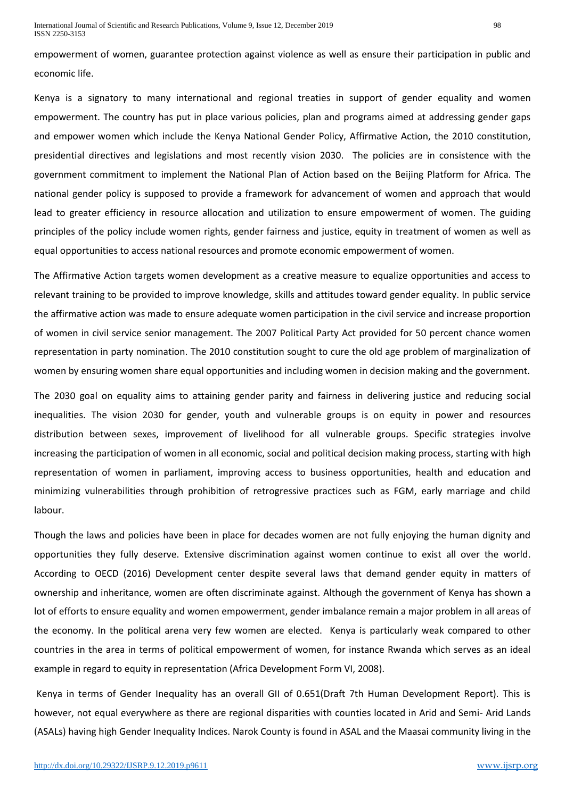empowerment of women, guarantee protection against violence as well as ensure their participation in public and economic life.

Kenya is a signatory to many international and regional treaties in support of gender equality and women empowerment. The country has put in place various policies, plan and programs aimed at addressing gender gaps and empower women which include the Kenya National Gender Policy, Affirmative Action, the 2010 constitution, presidential directives and legislations and most recently vision 2030. The policies are in consistence with the government commitment to implement the National Plan of Action based on the Beijing Platform for Africa. The national gender policy is supposed to provide a framework for advancement of women and approach that would lead to greater efficiency in resource allocation and utilization to ensure empowerment of women. The guiding principles of the policy include women rights, gender fairness and justice, equity in treatment of women as well as equal opportunities to access national resources and promote economic empowerment of women.

The Affirmative Action targets women development as a creative measure to equalize opportunities and access to relevant training to be provided to improve knowledge, skills and attitudes toward gender equality. In public service the affirmative action was made to ensure adequate women participation in the civil service and increase proportion of women in civil service senior management. The 2007 Political Party Act provided for 50 percent chance women representation in party nomination. The 2010 constitution sought to cure the old age problem of marginalization of women by ensuring women share equal opportunities and including women in decision making and the government.

The 2030 goal on equality aims to attaining gender parity and fairness in delivering justice and reducing social inequalities. The vision 2030 for gender, youth and vulnerable groups is on equity in power and resources distribution between sexes, improvement of livelihood for all vulnerable groups. Specific strategies involve increasing the participation of women in all economic, social and political decision making process, starting with high representation of women in parliament, improving access to business opportunities, health and education and minimizing vulnerabilities through prohibition of retrogressive practices such as FGM, early marriage and child labour.

Though the laws and policies have been in place for decades women are not fully enjoying the human dignity and opportunities they fully deserve. Extensive discrimination against women continue to exist all over the world. According to OECD (2016) Development center despite several laws that demand gender equity in matters of ownership and inheritance, women are often discriminate against. Although the government of Kenya has shown a lot of efforts to ensure equality and women empowerment, gender imbalance remain a major problem in all areas of the economy. In the political arena very few women are elected. Kenya is particularly weak compared to other countries in the area in terms of political empowerment of women, for instance Rwanda which serves as an ideal example in regard to equity in representation (Africa Development Form VI, 2008).

Kenya in terms of Gender Inequality has an overall GII of 0.651(Draft 7th Human Development Report). This is however, not equal everywhere as there are regional disparities with counties located in Arid and Semi- Arid Lands (ASALs) having high Gender Inequality Indices. Narok County is found in ASAL and the Maasai community living in the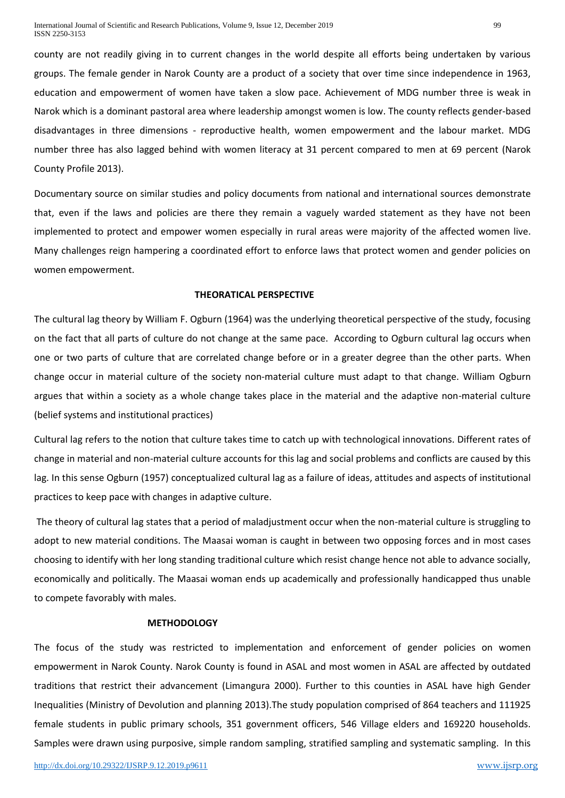county are not readily giving in to current changes in the world despite all efforts being undertaken by various groups. The female gender in Narok County are a product of a society that over time since independence in 1963, education and empowerment of women have taken a slow pace. Achievement of MDG number three is weak in Narok which is a dominant pastoral area where leadership amongst women is low. The county reflects gender-based disadvantages in three dimensions - reproductive health, women empowerment and the labour market. MDG number three has also lagged behind with women literacy at 31 percent compared to men at 69 percent (Narok County Profile 2013).

Documentary source on similar studies and policy documents from national and international sources demonstrate that, even if the laws and policies are there they remain a vaguely warded statement as they have not been implemented to protect and empower women especially in rural areas were majority of the affected women live. Many challenges reign hampering a coordinated effort to enforce laws that protect women and gender policies on women empowerment.

## **THEORATICAL PERSPECTIVE**

The cultural lag theory by William F. Ogburn (1964) was the underlying theoretical perspective of the study, focusing on the fact that all parts of culture do not change at the same pace. According to Ogburn cultural lag occurs when one or two parts of culture that are correlated change before or in a greater degree than the other parts. When change occur in material culture of the society non-material culture must adapt to that change. William Ogburn argues that within a society as a whole change takes place in the material and the adaptive non-material culture (belief systems and institutional practices)

Cultural lag refers to the notion that culture takes time to catch up with technological innovations. Different rates of change in material and non-material culture accounts for this lag and social problems and conflicts are caused by this lag. In this sense Ogburn (1957) conceptualized cultural lag as a failure of ideas, attitudes and aspects of institutional practices to keep pace with changes in adaptive culture.

The theory of cultural lag states that a period of maladjustment occur when the non-material culture is struggling to adopt to new material conditions. The Maasai woman is caught in between two opposing forces and in most cases choosing to identify with her long standing traditional culture which resist change hence not able to advance socially, economically and politically. The Maasai woman ends up academically and professionally handicapped thus unable to compete favorably with males.

#### **METHODOLOGY**

The focus of the study was restricted to implementation and enforcement of gender policies on women empowerment in Narok County. Narok County is found in ASAL and most women in ASAL are affected by outdated traditions that restrict their advancement (Limangura 2000). Further to this counties in ASAL have high Gender Inequalities (Ministry of Devolution and planning 2013).The study population comprised of 864 teachers and 111925 female students in public primary schools, 351 government officers, 546 Village elders and 169220 households. Samples were drawn using purposive, simple random sampling, stratified sampling and systematic sampling. In this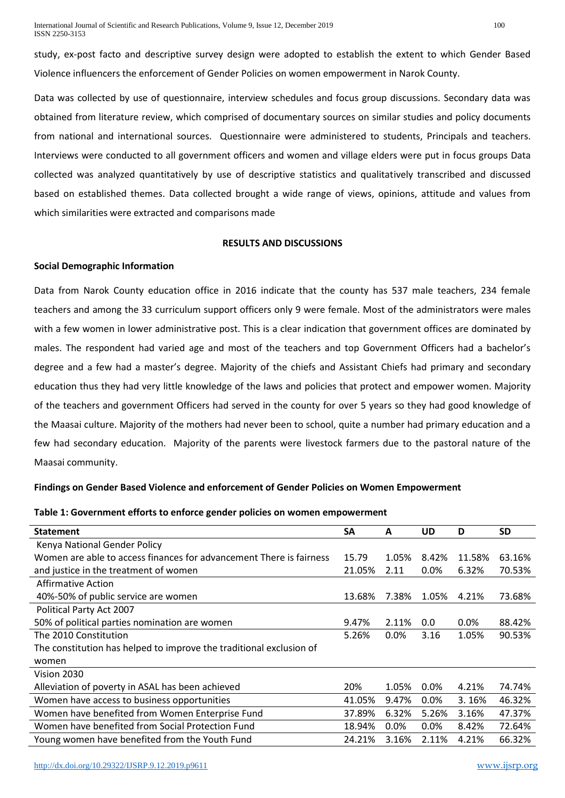International Journal of Scientific and Research Publications, Volume 9, Issue 12, December 2019 100 ISSN 2250-3153

study, ex-post facto and descriptive survey design were adopted to establish the extent to which Gender Based Violence influencers the enforcement of Gender Policies on women empowerment in Narok County.

Data was collected by use of questionnaire, interview schedules and focus group discussions. Secondary data was obtained from literature review, which comprised of documentary sources on similar studies and policy documents from national and international sources. Questionnaire were administered to students, Principals and teachers. Interviews were conducted to all government officers and women and village elders were put in focus groups Data collected was analyzed quantitatively by use of descriptive statistics and qualitatively transcribed and discussed based on established themes. Data collected brought a wide range of views, opinions, attitude and values from which similarities were extracted and comparisons made

## **RESULTS AND DISCUSSIONS**

#### **Social Demographic Information**

Data from Narok County education office in 2016 indicate that the county has 537 male teachers, 234 female teachers and among the 33 curriculum support officers only 9 were female. Most of the administrators were males with a few women in lower administrative post. This is a clear indication that government offices are dominated by males. The respondent had varied age and most of the teachers and top Government Officers had a bachelor's degree and a few had a master's degree. Majority of the chiefs and Assistant Chiefs had primary and secondary education thus they had very little knowledge of the laws and policies that protect and empower women. Majority of the teachers and government Officers had served in the county for over 5 years so they had good knowledge of the Maasai culture. Majority of the mothers had never been to school, quite a number had primary education and a few had secondary education. Majority of the parents were livestock farmers due to the pastoral nature of the Maasai community.

#### **Findings on Gender Based Violence and enforcement of Gender Policies on Women Empowerment**

#### **Table 1: Government efforts to enforce gender policies on women empowerment**

| <b>Statement</b>                                                    | <b>SA</b> | A       | UD      | D       | <b>SD</b> |
|---------------------------------------------------------------------|-----------|---------|---------|---------|-----------|
| Kenya National Gender Policy                                        |           |         |         |         |           |
| Women are able to access finances for advancement There is fairness | 15.79     | 1.05%   | 8.42%   | 11.58%  | 63.16%    |
| and justice in the treatment of women                               | 21.05%    | 2.11    | $0.0\%$ | 6.32%   | 70.53%    |
| <b>Affirmative Action</b>                                           |           |         |         |         |           |
| 40%-50% of public service are women                                 | 13.68%    | 7.38%   | 1.05%   | 4.21%   | 73.68%    |
| Political Party Act 2007                                            |           |         |         |         |           |
| 50% of political parties nomination are women                       | 9.47%     | 2.11%   | 0.0     | $0.0\%$ | 88.42%    |
| The 2010 Constitution                                               | 5.26%     | $0.0\%$ | 3.16    | 1.05%   | 90.53%    |
| The constitution has helped to improve the traditional exclusion of |           |         |         |         |           |
| women                                                               |           |         |         |         |           |
| Vision 2030                                                         |           |         |         |         |           |
| Alleviation of poverty in ASAL has been achieved                    | 20%       | 1.05%   | 0.0%    | 4.21%   | 74.74%    |
| Women have access to business opportunities                         | 41.05%    | 9.47%   | $0.0\%$ | 3.16%   | 46.32%    |
| Women have benefited from Women Enterprise Fund                     | 37.89%    | 6.32%   | 5.26%   | 3.16%   | 47.37%    |
| Women have benefited from Social Protection Fund                    | 18.94%    | 0.0%    | 0.0%    | 8.42%   | 72.64%    |
| Young women have benefited from the Youth Fund                      | 24.21%    | 3.16%   | 2.11%   | 4.21%   | 66.32%    |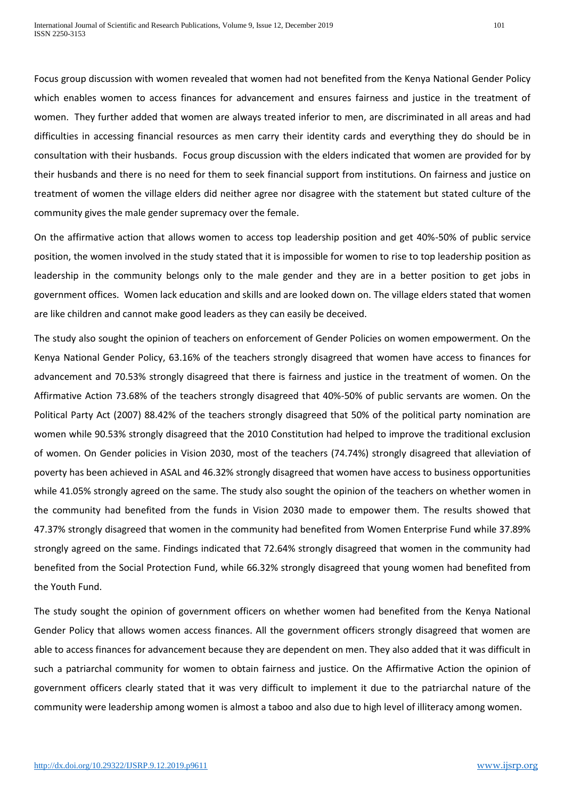Focus group discussion with women revealed that women had not benefited from the Kenya National Gender Policy which enables women to access finances for advancement and ensures fairness and justice in the treatment of women. They further added that women are always treated inferior to men, are discriminated in all areas and had difficulties in accessing financial resources as men carry their identity cards and everything they do should be in consultation with their husbands. Focus group discussion with the elders indicated that women are provided for by their husbands and there is no need for them to seek financial support from institutions. On fairness and justice on treatment of women the village elders did neither agree nor disagree with the statement but stated culture of the community gives the male gender supremacy over the female.

On the affirmative action that allows women to access top leadership position and get 40%-50% of public service position, the women involved in the study stated that it is impossible for women to rise to top leadership position as leadership in the community belongs only to the male gender and they are in a better position to get jobs in government offices. Women lack education and skills and are looked down on. The village elders stated that women are like children and cannot make good leaders as they can easily be deceived.

The study also sought the opinion of teachers on enforcement of Gender Policies on women empowerment. On the Kenya National Gender Policy, 63.16% of the teachers strongly disagreed that women have access to finances for advancement and 70.53% strongly disagreed that there is fairness and justice in the treatment of women. On the Affirmative Action 73.68% of the teachers strongly disagreed that 40%-50% of public servants are women. On the Political Party Act (2007) 88.42% of the teachers strongly disagreed that 50% of the political party nomination are women while 90.53% strongly disagreed that the 2010 Constitution had helped to improve the traditional exclusion of women. On Gender policies in Vision 2030, most of the teachers (74.74%) strongly disagreed that alleviation of poverty has been achieved in ASAL and 46.32% strongly disagreed that women have access to business opportunities while 41.05% strongly agreed on the same. The study also sought the opinion of the teachers on whether women in the community had benefited from the funds in Vision 2030 made to empower them. The results showed that 47.37% strongly disagreed that women in the community had benefited from Women Enterprise Fund while 37.89% strongly agreed on the same. Findings indicated that 72.64% strongly disagreed that women in the community had benefited from the Social Protection Fund, while 66.32% strongly disagreed that young women had benefited from the Youth Fund.

The study sought the opinion of government officers on whether women had benefited from the Kenya National Gender Policy that allows women access finances. All the government officers strongly disagreed that women are able to access finances for advancement because they are dependent on men. They also added that it was difficult in such a patriarchal community for women to obtain fairness and justice. On the Affirmative Action the opinion of government officers clearly stated that it was very difficult to implement it due to the patriarchal nature of the community were leadership among women is almost a taboo and also due to high level of illiteracy among women.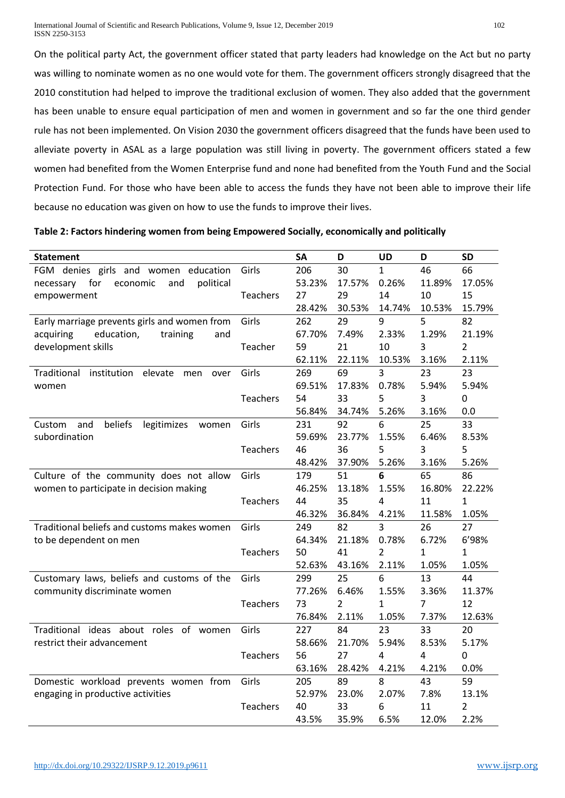On the political party Act, the government officer stated that party leaders had knowledge on the Act but no party was willing to nominate women as no one would vote for them. The government officers strongly disagreed that the 2010 constitution had helped to improve the traditional exclusion of women. They also added that the government has been unable to ensure equal participation of men and women in government and so far the one third gender rule has not been implemented. On Vision 2030 the government officers disagreed that the funds have been used to alleviate poverty in ASAL as a large population was still living in poverty. The government officers stated a few women had benefited from the Women Enterprise fund and none had benefited from the Youth Fund and the Social Protection Fund. For those who have been able to access the funds they have not been able to improve their life because no education was given on how to use the funds to improve their lives.

| Table 2: Factors hindering women from being Empowered Socially, economically and politically |  |  |
|----------------------------------------------------------------------------------------------|--|--|
|----------------------------------------------------------------------------------------------|--|--|

|                                                   |                 | <b>SA</b>    | D              |              | D            | <b>SD</b>      |
|---------------------------------------------------|-----------------|--------------|----------------|--------------|--------------|----------------|
| <b>Statement</b>                                  |                 | 206          | 30             | UD           | 46           | 66             |
| FGM denies girls and women education              | Girls           |              |                | $\mathbf{1}$ |              |                |
| for<br>economic<br>and<br>political<br>necessary  | <b>Teachers</b> | 53.23%<br>27 | 17.57%<br>29   | 0.26%<br>14  | 11.89%<br>10 | 17.05%<br>15   |
| empowerment                                       |                 | 28.42%       | 30.53%         |              | 10.53%       |                |
|                                                   |                 | 262          | 29             | 14.74%<br>9  | 5            | 15.79%<br>82   |
| Early marriage prevents girls and women from      | Girls           |              |                |              |              |                |
| education,<br>acquiring<br>training<br>and        |                 | 67.70%       | 7.49%          | 2.33%        | 1.29%        | 21.19%         |
| development skills                                | Teacher         | 59           | 21             | 10           | 3            | $\overline{2}$ |
|                                                   |                 | 62.11%       | 22.11%         | 10.53%       | 3.16%        | 2.11%          |
| institution elevate<br>Traditional<br>men<br>over | Girls           | 269          | 69             | 3            | 23           | 23             |
| women                                             |                 | 69.51%       | 17.83%         | 0.78%        | 5.94%        | 5.94%          |
|                                                   | Teachers        | 54           | 33             | 5            | 3            | 0              |
|                                                   |                 | 56.84%       | 34.74%         | 5.26%        | 3.16%        | 0.0            |
| beliefs<br>legitimizes<br>and<br>Custom<br>women  | Girls           | 231          | 92             | 6            | 25           | 33             |
| subordination                                     |                 | 59.69%       | 23.77%         | 1.55%        | 6.46%        | 8.53%          |
|                                                   | <b>Teachers</b> | 46           | 36             | 5            | 3            | 5              |
|                                                   |                 | 48.42%       | 37.90%         | 5.26%        | 3.16%        | 5.26%          |
| Culture of the community does not allow           | Girls           | 179          | 51             | 6            | 65           | 86             |
| women to participate in decision making           |                 | 46.25%       | 13.18%         | 1.55%        | 16.80%       | 22.22%         |
|                                                   | <b>Teachers</b> | 44           | 35             | 4            | 11           | $\mathbf{1}$   |
|                                                   |                 | 46.32%       | 36.84%         | 4.21%        | 11.58%       | 1.05%          |
| Traditional beliefs and customs makes women       | Girls           | 249          | 82             | 3            | 26           | 27             |
| to be dependent on men                            |                 | 64.34%       | 21.18%         | 0.78%        | 6.72%        | 6'98%          |
|                                                   | <b>Teachers</b> | 50           | 41             | 2            | $\mathbf{1}$ | 1              |
|                                                   |                 | 52.63%       | 43.16%         | 2.11%        | 1.05%        | 1.05%          |
| Customary laws, beliefs and customs of the        | Girls           | 299          | 25             | 6            | 13           | 44             |
| community discriminate women                      |                 | 77.26%       | 6.46%          | 1.55%        | 3.36%        | 11.37%         |
|                                                   | <b>Teachers</b> | 73           | $\overline{2}$ | $\mathbf{1}$ | 7            | 12             |
|                                                   |                 | 76.84%       | 2.11%          | 1.05%        | 7.37%        | 12.63%         |
| Traditional ideas about roles of women            | Girls           | 227          | 84             | 23           | 33           | 20             |
| restrict their advancement                        |                 | 58.66%       | 21.70%         | 5.94%        | 8.53%        | 5.17%          |
|                                                   | <b>Teachers</b> | 56           | 27             | 4            | 4            | 0              |
|                                                   |                 | 63.16%       | 28.42%         | 4.21%        | 4.21%        | 0.0%           |
| Domestic workload prevents women from             | Girls           | 205          | 89             | 8            | 43           | 59             |
| engaging in productive activities                 |                 | 52.97%       | 23.0%          | 2.07%        | 7.8%         | 13.1%          |
|                                                   | <b>Teachers</b> | 40           | 33             | 6            | 11           | $\overline{2}$ |
|                                                   |                 | 43.5%        | 35.9%          | 6.5%         | 12.0%        | 2.2%           |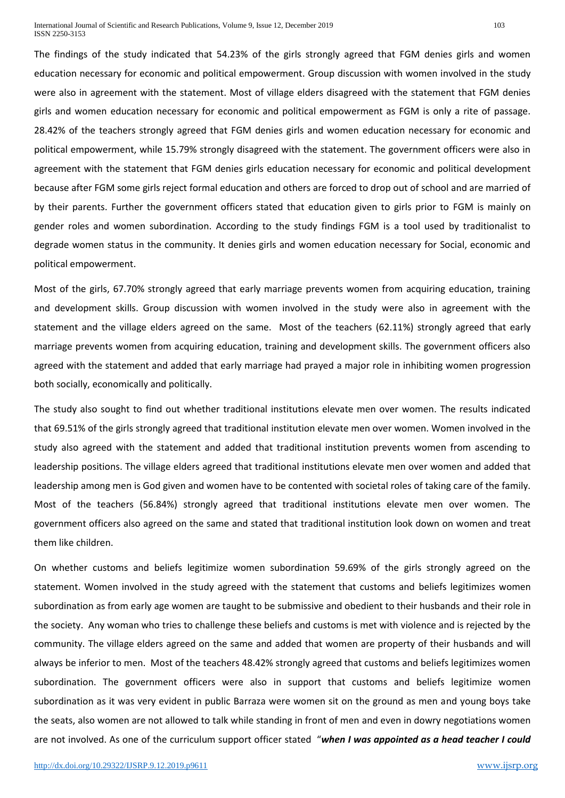International Journal of Scientific and Research Publications, Volume 9, Issue 12, December 2019 103 ISSN 2250-3153

The findings of the study indicated that 54.23% of the girls strongly agreed that FGM denies girls and women education necessary for economic and political empowerment. Group discussion with women involved in the study were also in agreement with the statement. Most of village elders disagreed with the statement that FGM denies girls and women education necessary for economic and political empowerment as FGM is only a rite of passage. 28.42% of the teachers strongly agreed that FGM denies girls and women education necessary for economic and political empowerment, while 15.79% strongly disagreed with the statement. The government officers were also in agreement with the statement that FGM denies girls education necessary for economic and political development because after FGM some girls reject formal education and others are forced to drop out of school and are married of by their parents. Further the government officers stated that education given to girls prior to FGM is mainly on gender roles and women subordination. According to the study findings FGM is a tool used by traditionalist to degrade women status in the community. It denies girls and women education necessary for Social, economic and political empowerment.

Most of the girls, 67.70% strongly agreed that early marriage prevents women from acquiring education, training and development skills. Group discussion with women involved in the study were also in agreement with the statement and the village elders agreed on the same. Most of the teachers (62.11%) strongly agreed that early marriage prevents women from acquiring education, training and development skills. The government officers also agreed with the statement and added that early marriage had prayed a major role in inhibiting women progression both socially, economically and politically.

The study also sought to find out whether traditional institutions elevate men over women. The results indicated that 69.51% of the girls strongly agreed that traditional institution elevate men over women. Women involved in the study also agreed with the statement and added that traditional institution prevents women from ascending to leadership positions. The village elders agreed that traditional institutions elevate men over women and added that leadership among men is God given and women have to be contented with societal roles of taking care of the family. Most of the teachers (56.84%) strongly agreed that traditional institutions elevate men over women. The government officers also agreed on the same and stated that traditional institution look down on women and treat them like children.

On whether customs and beliefs legitimize women subordination 59.69% of the girls strongly agreed on the statement. Women involved in the study agreed with the statement that customs and beliefs legitimizes women subordination as from early age women are taught to be submissive and obedient to their husbands and their role in the society. Any woman who tries to challenge these beliefs and customs is met with violence and is rejected by the community. The village elders agreed on the same and added that women are property of their husbands and will always be inferior to men. Most of the teachers 48.42% strongly agreed that customs and beliefs legitimizes women subordination. The government officers were also in support that customs and beliefs legitimize women subordination as it was very evident in public Barraza were women sit on the ground as men and young boys take the seats, also women are not allowed to talk while standing in front of men and even in dowry negotiations women are not involved. As one of the curriculum support officer stated "*when I was appointed as a head teacher I could*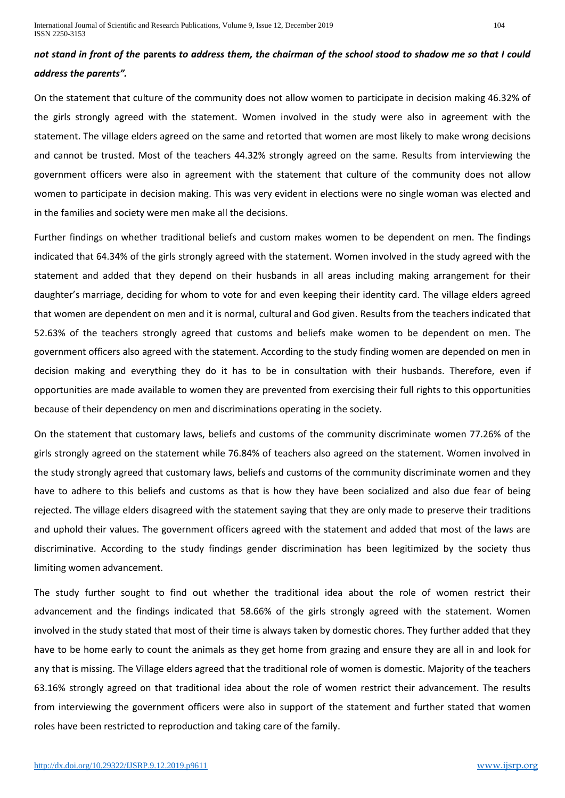# *not stand in front of the* **parents** *to address them, the chairman of the school stood to shadow me so that I could address the parents".*

On the statement that culture of the community does not allow women to participate in decision making 46.32% of the girls strongly agreed with the statement. Women involved in the study were also in agreement with the statement. The village elders agreed on the same and retorted that women are most likely to make wrong decisions and cannot be trusted. Most of the teachers 44.32% strongly agreed on the same. Results from interviewing the government officers were also in agreement with the statement that culture of the community does not allow women to participate in decision making. This was very evident in elections were no single woman was elected and in the families and society were men make all the decisions.

Further findings on whether traditional beliefs and custom makes women to be dependent on men. The findings indicated that 64.34% of the girls strongly agreed with the statement. Women involved in the study agreed with the statement and added that they depend on their husbands in all areas including making arrangement for their daughter's marriage, deciding for whom to vote for and even keeping their identity card. The village elders agreed that women are dependent on men and it is normal, cultural and God given. Results from the teachers indicated that 52.63% of the teachers strongly agreed that customs and beliefs make women to be dependent on men. The government officers also agreed with the statement. According to the study finding women are depended on men in decision making and everything they do it has to be in consultation with their husbands. Therefore, even if opportunities are made available to women they are prevented from exercising their full rights to this opportunities because of their dependency on men and discriminations operating in the society.

On the statement that customary laws, beliefs and customs of the community discriminate women 77.26% of the girls strongly agreed on the statement while 76.84% of teachers also agreed on the statement. Women involved in the study strongly agreed that customary laws, beliefs and customs of the community discriminate women and they have to adhere to this beliefs and customs as that is how they have been socialized and also due fear of being rejected. The village elders disagreed with the statement saying that they are only made to preserve their traditions and uphold their values. The government officers agreed with the statement and added that most of the laws are discriminative. According to the study findings gender discrimination has been legitimized by the society thus limiting women advancement.

The study further sought to find out whether the traditional idea about the role of women restrict their advancement and the findings indicated that 58.66% of the girls strongly agreed with the statement. Women involved in the study stated that most of their time is always taken by domestic chores. They further added that they have to be home early to count the animals as they get home from grazing and ensure they are all in and look for any that is missing. The Village elders agreed that the traditional role of women is domestic. Majority of the teachers 63.16% strongly agreed on that traditional idea about the role of women restrict their advancement. The results from interviewing the government officers were also in support of the statement and further stated that women roles have been restricted to reproduction and taking care of the family.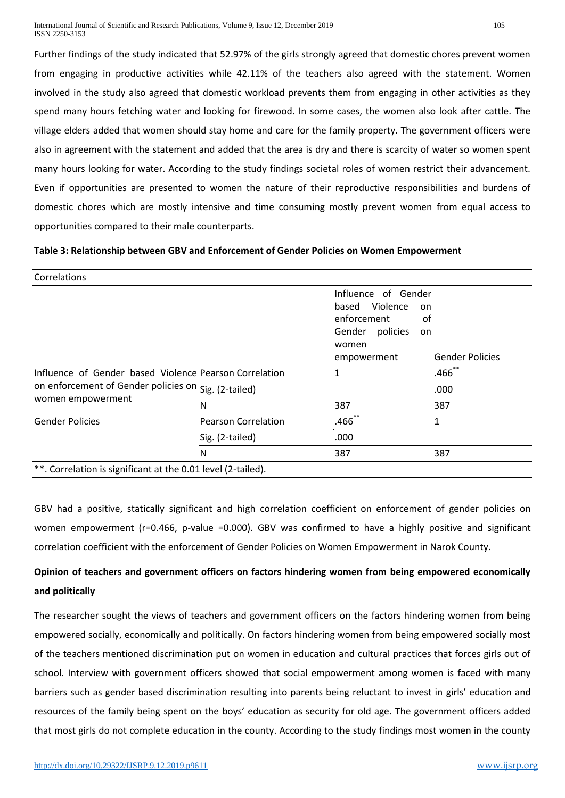Further findings of the study indicated that 52.97% of the girls strongly agreed that domestic chores prevent women from engaging in productive activities while 42.11% of the teachers also agreed with the statement. Women involved in the study also agreed that domestic workload prevents them from engaging in other activities as they spend many hours fetching water and looking for firewood. In some cases, the women also look after cattle. The village elders added that women should stay home and care for the family property. The government officers were also in agreement with the statement and added that the area is dry and there is scarcity of water so women spent many hours looking for water. According to the study findings societal roles of women restrict their advancement. Even if opportunities are presented to women the nature of their reproductive responsibilities and burdens of domestic chores which are mostly intensive and time consuming mostly prevent women from equal access to opportunities compared to their male counterparts.

# **Table 3: Relationship between GBV and Enforcement of Gender Policies on Women Empowerment**

| CULTERIUDIIS                                                 |                            |                                                                                                    |                                          |
|--------------------------------------------------------------|----------------------------|----------------------------------------------------------------------------------------------------|------------------------------------------|
|                                                              |                            | Influence of Gender<br>Violence<br>based<br>enforcement<br>Gender policies<br>women<br>empowerment | on<br>оf<br>on<br><b>Gender Policies</b> |
| Influence of Gender based Violence Pearson Correlation       |                            | 1                                                                                                  | $.466$ **                                |
| on enforcement of Gender policies on Sig. (2-tailed)         |                            |                                                                                                    | .000                                     |
| women empowerment                                            | N                          | 387                                                                                                | 387                                      |
| <b>Gender Policies</b>                                       | <b>Pearson Correlation</b> | .466 <sup>°</sup>                                                                                  | 1                                        |
|                                                              | Sig. (2-tailed)            | .000                                                                                               |                                          |
|                                                              | N                          | 387                                                                                                | 387                                      |
| **. Correlation is significant at the 0.01 level (2-tailed). |                            |                                                                                                    |                                          |

GBV had a positive, statically significant and high correlation coefficient on enforcement of gender policies on women empowerment (r=0.466, p-value =0.000). GBV was confirmed to have a highly positive and significant correlation coefficient with the enforcement of Gender Policies on Women Empowerment in Narok County.

# **Opinion of teachers and government officers on factors hindering women from being empowered economically and politically**

The researcher sought the views of teachers and government officers on the factors hindering women from being empowered socially, economically and politically. On factors hindering women from being empowered socially most of the teachers mentioned discrimination put on women in education and cultural practices that forces girls out of school. Interview with government officers showed that social empowerment among women is faced with many barriers such as gender based discrimination resulting into parents being reluctant to invest in girls' education and resources of the family being spent on the boys' education as security for old age. The government officers added that most girls do not complete education in the county. According to the study findings most women in the county

Correlations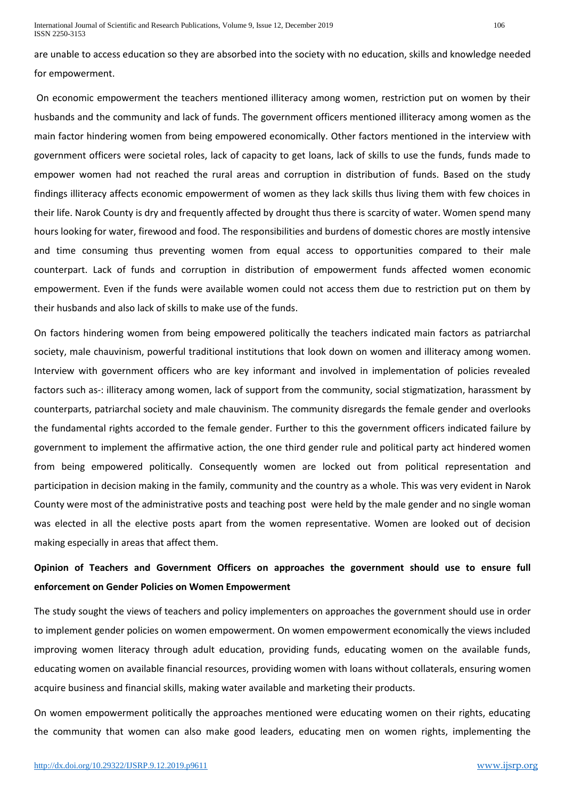are unable to access education so they are absorbed into the society with no education, skills and knowledge needed for empowerment.

On economic empowerment the teachers mentioned illiteracy among women, restriction put on women by their husbands and the community and lack of funds. The government officers mentioned illiteracy among women as the main factor hindering women from being empowered economically. Other factors mentioned in the interview with government officers were societal roles, lack of capacity to get loans, lack of skills to use the funds, funds made to empower women had not reached the rural areas and corruption in distribution of funds. Based on the study findings illiteracy affects economic empowerment of women as they lack skills thus living them with few choices in their life. Narok County is dry and frequently affected by drought thus there is scarcity of water. Women spend many hours looking for water, firewood and food. The responsibilities and burdens of domestic chores are mostly intensive and time consuming thus preventing women from equal access to opportunities compared to their male counterpart. Lack of funds and corruption in distribution of empowerment funds affected women economic empowerment. Even if the funds were available women could not access them due to restriction put on them by their husbands and also lack of skills to make use of the funds.

On factors hindering women from being empowered politically the teachers indicated main factors as patriarchal society, male chauvinism, powerful traditional institutions that look down on women and illiteracy among women. Interview with government officers who are key informant and involved in implementation of policies revealed factors such as-: illiteracy among women, lack of support from the community, social stigmatization, harassment by counterparts, patriarchal society and male chauvinism. The community disregards the female gender and overlooks the fundamental rights accorded to the female gender. Further to this the government officers indicated failure by government to implement the affirmative action, the one third gender rule and political party act hindered women from being empowered politically. Consequently women are locked out from political representation and participation in decision making in the family, community and the country as a whole. This was very evident in Narok County were most of the administrative posts and teaching post were held by the male gender and no single woman was elected in all the elective posts apart from the women representative. Women are looked out of decision making especially in areas that affect them.

# **Opinion of Teachers and Government Officers on approaches the government should use to ensure full enforcement on Gender Policies on Women Empowerment**

The study sought the views of teachers and policy implementers on approaches the government should use in order to implement gender policies on women empowerment. On women empowerment economically the views included improving women literacy through adult education, providing funds, educating women on the available funds, educating women on available financial resources, providing women with loans without collaterals, ensuring women acquire business and financial skills, making water available and marketing their products.

On women empowerment politically the approaches mentioned were educating women on their rights, educating the community that women can also make good leaders, educating men on women rights, implementing the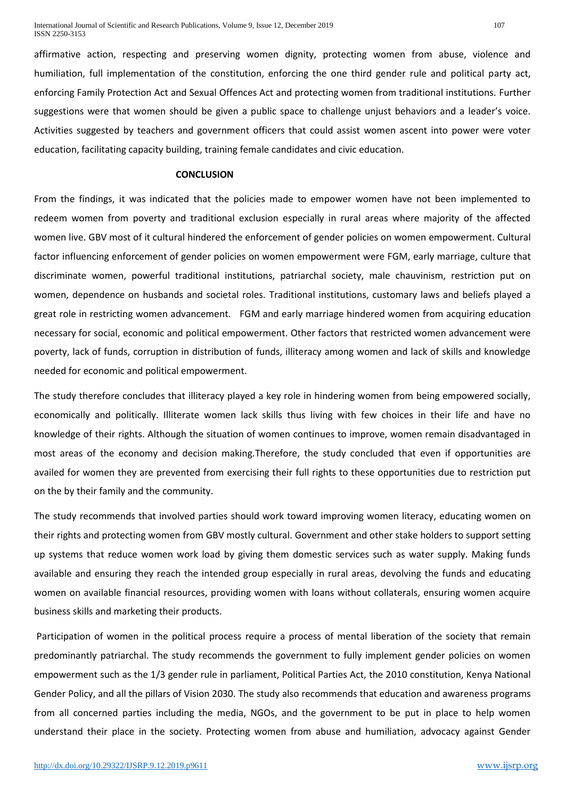affirmative action, respecting and preserving women dignity, protecting women from abuse, violence and humiliation, full implementation of the constitution, enforcing the one third gender rule and political party act, enforcing Family Protection Act and Sexual Offences Act and protecting women from traditional institutions. Further suggestions were that women should be given a public space to challenge unjust behaviors and a leader's voice. Activities suggested by teachers and government officers that could assist women ascent into power were voter education, facilitating capacity building, training female candidates and civic education.

## **CONCLUSION**

From the findings, it was indicated that the policies made to empower women have not been implemented to redeem women from poverty and traditional exclusion especially in rural areas where majority of the affected women live. GBV most of it cultural hindered the enforcement of gender policies on women empowerment. Cultural factor influencing enforcement of gender policies on women empowerment were FGM, early marriage, culture that discriminate women, powerful traditional institutions, patriarchal society, male chauvinism, restriction put on women, dependence on husbands and societal roles. Traditional institutions, customary laws and beliefs played a great role in restricting women advancement. FGM and early marriage hindered women from acquiring education necessary for social, economic and political empowerment. Other factors that restricted women advancement were poverty, lack of funds, corruption in distribution of funds, illiteracy among women and lack of skills and knowledge needed for economic and political empowerment.

The study therefore concludes that illiteracy played a key role in hindering women from being empowered socially, economically and politically. Illiterate women lack skills thus living with few choices in their life and have no knowledge of their rights. Although the situation of women continues to improve, women remain disadvantaged in most areas of the economy and decision making.Therefore, the study concluded that even if opportunities are availed for women they are prevented from exercising their full rights to these opportunities due to restriction put on the by their family and the community.

The study recommends that involved parties should work toward improving women literacy, educating women on their rights and protecting women from GBV mostly cultural. Government and other stake holders to support setting up systems that reduce women work load by giving them domestic services such as water supply. Making funds available and ensuring they reach the intended group especially in rural areas, devolving the funds and educating women on available financial resources, providing women with loans without collaterals, ensuring women acquire business skills and marketing their products.

Participation of women in the political process require a process of mental liberation of the society that remain predominantly patriarchal. The study recommends the government to fully implement gender policies on women empowerment such as the 1/3 gender rule in parliament, Political Parties Act, the 2010 constitution, Kenya National Gender Policy, and all the pillars of Vision 2030. The study also recommends that education and awareness programs from all concerned parties including the media, NGOs, and the government to be put in place to help women understand their place in the society. Protecting women from abuse and humiliation, advocacy against Gender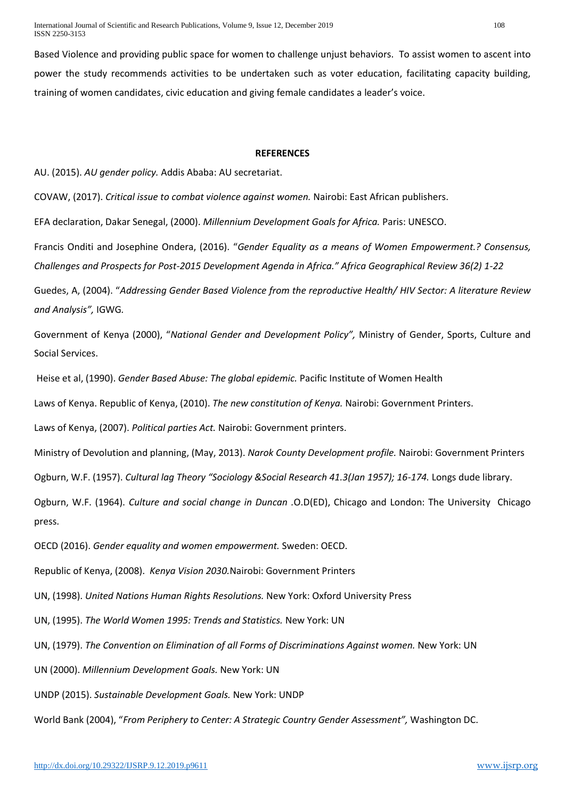International Journal of Scientific and Research Publications, Volume 9, Issue 12, December 2019 108 ISSN 2250-3153

Based Violence and providing public space for women to challenge unjust behaviors. To assist women to ascent into power the study recommends activities to be undertaken such as voter education, facilitating capacity building, training of women candidates, civic education and giving female candidates a leader's voice.

#### **REFERENCES**

AU. (2015). *AU gender policy.* Addis Ababa: AU secretariat.

COVAW, (2017). *Critical issue to combat violence against women.* Nairobi: East African publishers.

EFA declaration, Dakar Senegal, (2000). *Millennium Development Goals for Africa.* Paris: UNESCO.

Francis Onditi and Josephine Ondera, (2016). "*Gender Equality as a means of Women Empowerment.? Consensus, Challenges and Prospects for Post-2015 Development Agenda in Africa." Africa Geographical Review 36(2) 1-22*

Guedes, A, (2004). "*Addressing Gender Based Violence from the reproductive Health/ HIV Sector: A literature Review and Analysis",* IGWG*.*

Government of Kenya (2000), "*National Gender and Development Policy",* Ministry of Gender, Sports, Culture and Social Services.

Heise et al, (1990). *Gender Based Abuse: The global epidemic.* Pacific Institute of Women Health

Laws of Kenya. Republic of Kenya, (2010). *The new constitution of Kenya.* Nairobi: Government Printers.

Laws of Kenya, (2007). *Political parties Act.* Nairobi: Government printers.

Ministry of Devolution and planning, (May, 2013). *Narok County Development profile.* Nairobi: Government Printers

Ogburn, W.F. (1957). *Cultural lag Theory "Sociology &Social Research 41.3(Jan 1957); 16-174.* Longs dude library.

Ogburn, W.F. (1964). *Culture and social change in Duncan .*O.D(ED), Chicago and London: The University Chicago press.

OECD (2016). *Gender equality and women empowerment.* Sweden: OECD.

Republic of Kenya, (2008). *Kenya Vision 2030.*Nairobi: Government Printers

UN, (1998). *United Nations Human Rights Resolutions.* New York: Oxford University Press

UN, (1995). *The World Women 1995: Trends and Statistics.* New York: UN

UN, (1979). *The Convention on Elimination of all Forms of Discriminations Against women.* New York: UN

UN (2000). *Millennium Development Goals.* New York: UN

UNDP (2015). *Sustainable Development Goals.* New York: UNDP

World Bank (2004), "*From Periphery to Center: A Strategic Country Gender Assessment",* Washington DC.